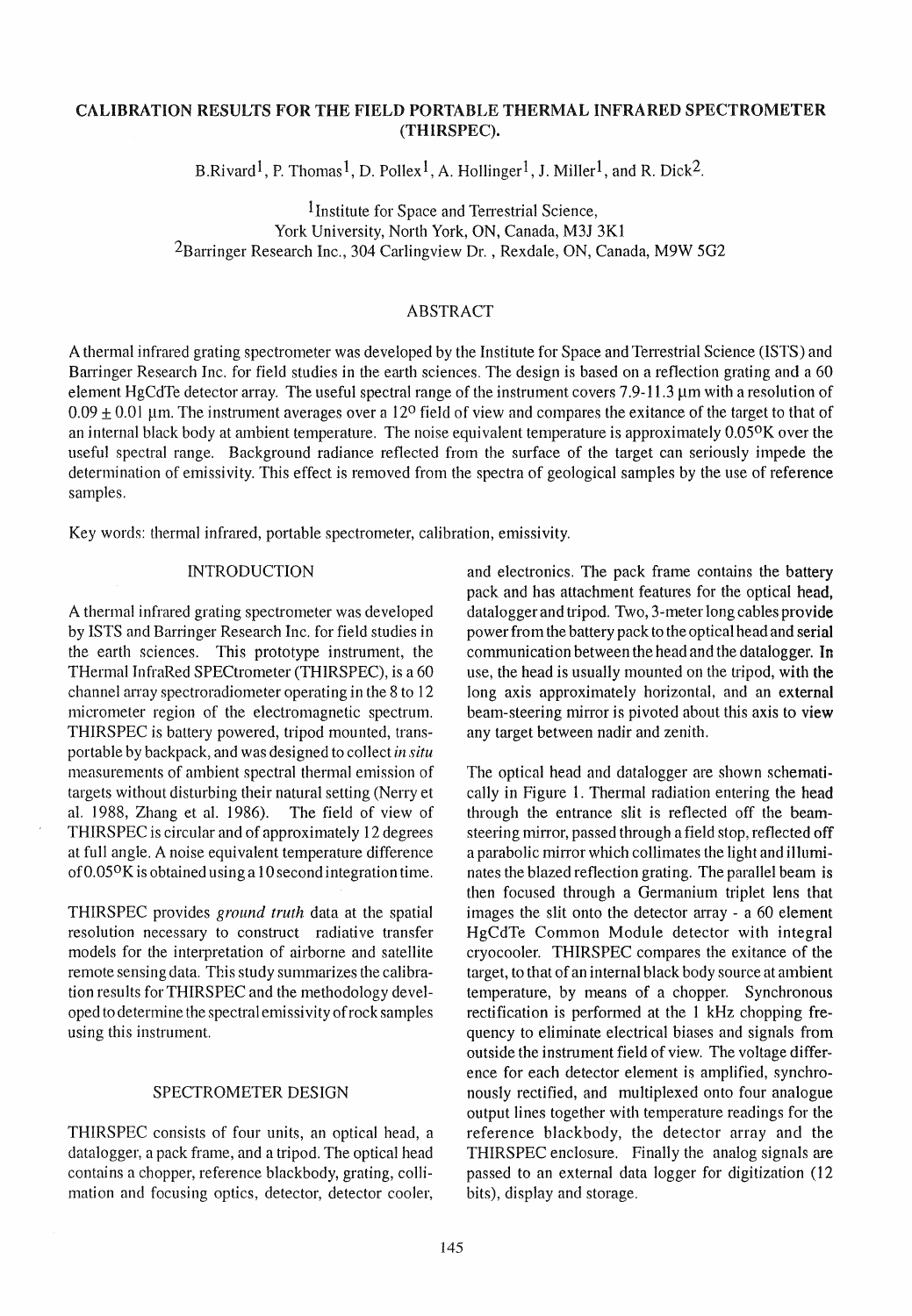# CALIBRATION RESULTS FOR THE FIELD PORTABLE THERMAL INFRA RED SPECTROMETER (THIRSPEC).

B.Rivard<sup>1</sup>, P. Thomas<sup>1</sup>, D. Pollex<sup>1</sup>, A. Hollinger<sup>1</sup>, J. Miller<sup>1</sup>, and R. Dick<sup>2</sup>.

1 Institute for Space and Terrestrial Science, York University, North York, ON, Canada, M3J 3K1 <sup>2</sup>Barringer Research Inc., 304 Carlingview Dr., Rexdale, ON, Canada, M9W 5G2

### ABSTRACT

A thermal infrared grating spectrometer was developed by the Institute for Space and Terrestrial Science (ISTS) and Barringer Research Inc. for field studies in the earth sciences. The design is based on a reflection grating and a 60 element HgCdTe detector array. The useful spectral range of the instrument covers 7.9-11.3 µm with a resolution of  $0.09 \pm 0.01$  µm. The instrument averages over a 12<sup>o</sup> field of view and compares the exitance of the target to that of an internal black body at ambient temperature. The noise equivalent temperature is approximately  $0.05\%$  over the useful spectraI range. Background radiance reflected from the surface of the target can seriously impede the determination of emissivity. This effect is removed from the spectra of geological sampies by the use of reference samples.

Key words: thermal infrared, portable spectrometer, calibration, emissivity.

#### INTRODUCTION

A thermal infrared grating spectrometer was developed by ISTS and Barringer Research Inc. for field studies in the earth sciences. This prototype instrument, the THermal InfraRed SPECtrometer (THIRSPEC), is a 60 channel array spectroradiometer operating in the 8 to 12 micrometer region of the electromagnetie spectrum. THIRSPEC is battery powered, tripod mounted, transportable by backpack, and was designed to collect *in situ*  measurements of ambient spectral thermal emission of targets without disturbing their natural setting (Nerry et al. 1988, Zhang et al. 1986). The field of view of THIRSPEC is circular and of approximately 12 degrees at full angle. A noise equivalent temperature difference of  $0.05\%$  is obtained using a 10 second integration time.

THIRSPEC provides *ground truth* data at the spatial resolution necessary to construct radiative transfer models for the interpretation of airborne and satellite remote sensing data. This study summarizes the calibration results for THIRSPEC and the methodology developed to determine the spectral emissivity ofrock sampies using this instrument.

#### SPECTROMETER DESIGN

THIRSPEC consists of four units, an optieal head, a datalogger, a pack frame, and a tripod. The optieal head contains a chopper, reference blackbody, grating, collimation and focusing opties, detector, detector cooler, and electronics. The pack frame contains the battery pack and has attachment features for the opticaI head, datalogger and tripod. Two, 3-meter long cables provide power from the battery pack to the optical head and serial communication between the head and the datalogger. In use, the head is usually mounted on the tripod, with the long axis approximately horizontal, and an external beam-steering mirror is pivoted about this axis to view any target between nadir and zenith.

The optieal head and datalogger are shown schematically in Figure 1. Thermal radiation entering the head through the entrance slit is reflected off the beamsteering mirror, passed through a field stop, reflected off a parabolic mirror which collimates the light and illuminates the blazed reflection grating. The parallel beam is then focused through a Germanium triplet lens that images the slit onto the detector array - a  $60$  element HgCdTe Common Module detector with integral cryocooler. THIRSPEC compares the exitance of the target, to that of an internal black body source at ambient temperature, by means of a chopper. Synchronous rectifieation is performed at the 1 kHz chopping frequency to eliminate electrieal biases and signals from outside the instrument field of view. The voltage difference for each detector element is amplified, synchronously rectified, and multiplexed onto four analogue output lines together with temperature readings for the reference blackbody, the detector array and the THIRSPEC enclosure. Finally the analog signals are passed to an externat data logger for digitization (12 bits), display and storage.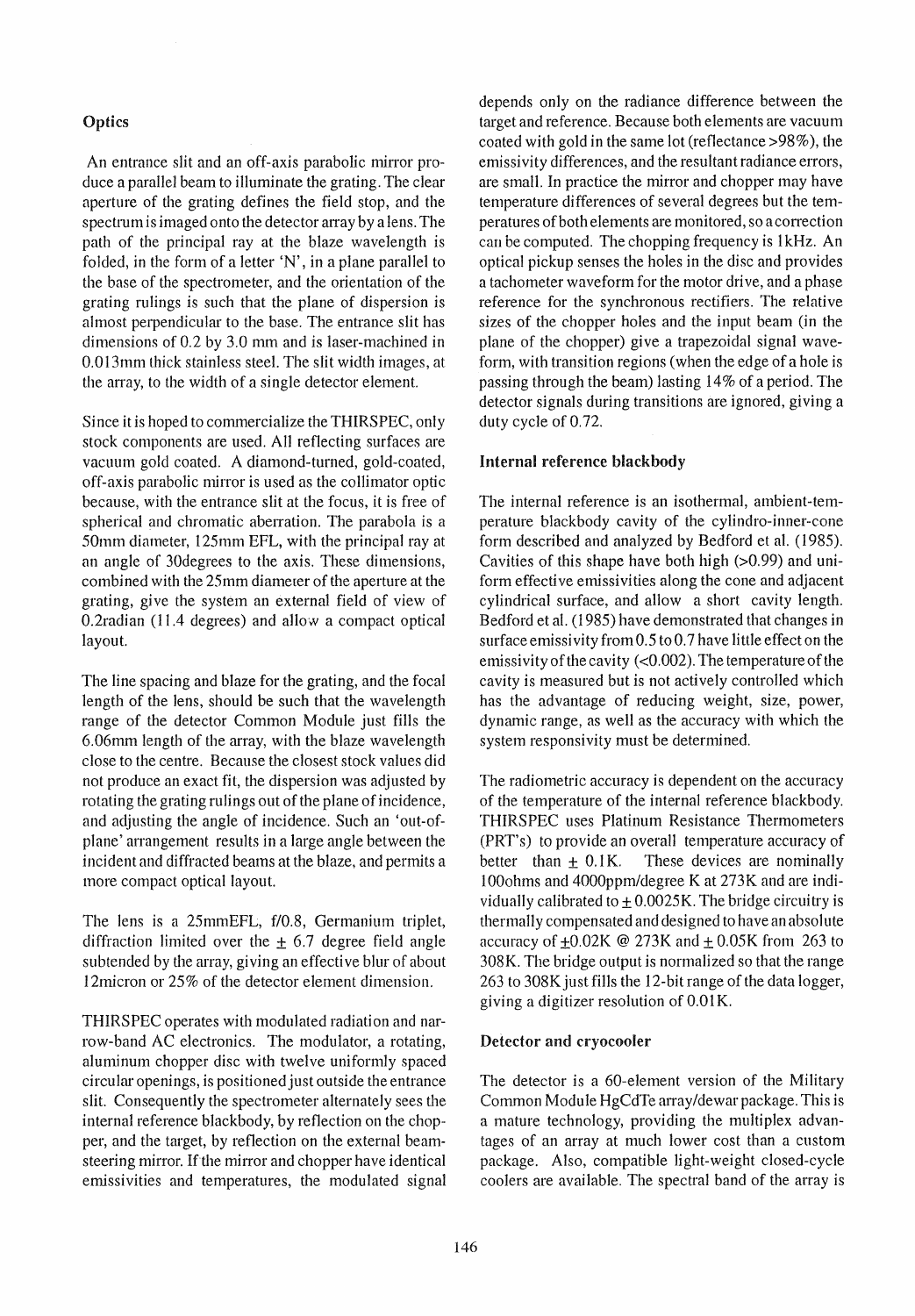# **Optics**

An entrance slit and an off-axis parabolic mirror produce a parallel beam to illuminate the grating. The clear aperture of the grating defines the field stop, and the spectrum is imaged onto the detector array by a lens. The path of the principal ray at the blaze wavelength is folded, in the form of a letter 'N', in a plane parallel to the base of the spectrometer, and the orientation of the grating rulings is such that the plane of dispersion is almost perpendicular to the base. The entrance slit has dimensions of 0.2 by 3.0 mm and is laser-machined in 0.013mm lhick stainless steel. The stit width images, at the array, to the width of a single detector element.

Since it is hoped to commercialize the THIRSPEC, only stock components are used. All reflecting surfaces are vacuum gold coated. A diamond-turned, gold-coated, off-axis parabolic mirror is used as the collimator optic because, with the entrance slit at the focus, it is free of spherical and chromatic aberration. The parabola is a 50mm diameter, 125mm EFL, with the principal ray at an angle of 30degrees to the axis. These dimensions, combined with the 25mm diameter of the aperture at the grating, give the system an external field of view of  $0.2$ radian (11.4 degrees) and allow a compact optical layout.

The line spacing and blaze for the grating, and the focal length of the lens, should be such that the wavelength range of the detector Common Module just fills the 6.06mm length of the array, with the blaze wavelength dose to the centre. Because the dosest stock values did not produce an exact fit, the dispersion was adjusted by rotating the grating rulings out of the plane of incidence, and adjusting the angle of incidence. Such an 'out-ofplane' arrangement results in a large angle between the incident and diffracted beams at the blaze, and permits a more compact optical layout.

The lens is a 25mmEFL, f/0.8, Germanium triplet, diffraction limited over the  $\pm$  6.7 degree field angle subtended by the array, giving an effective blur of about 12 micron or 25% of the detector element dimension.

THIRSPEC operates with modulated radiation and narrow-band AC electronics. The modulator, a rotating, aluminum chopper disc with twelve uniformly spaced circular openings, is positioned just outside the entrance slit. Consequently the spectrometer alternately sees the internaI reference blackbody, by reflection on the chopper, and the target, by reflection on the external be amsteering mirror. If the mirror and chopper have identical emissivities and temperatures, the modulated signal depends only on the radiance difference between the target and reference. Because both elements are vacuum coated with gold in the same lot (reflectance >98%), the emissivity differences, and the resultant radiance errors, are small. In practice the mirror and chopper may have temperature differences of several degrees but the temperatures ofboth elements are monitored, so acorrection can be computed. The chopping frequency is 1 kHz. An optical pickup senses the holes in the disc and provides a tachometer waveform for the motor drive, and a phase reference for the synchronous rectifiers. The relative sizes of the chopper holes and the input beam (in the plane of the chopper) give a trapezoidal signal waveform, with transition regions (when the edge of a hole is passing through the beam) lasting 14% of aperiod. The detector signals during transitions are ignored, giving a duty cycle of 0.72.

## Internal reference blackbody

The internal reference is an isothermal, ambient-temperature blackbody cavity of the cylindro-inner-cone form described and analyzed by Bedford et al. (1985). Cavities of this shape have both high  $(>0.99)$  and uniform effective emissivities along the cone and adjacent cylindrical surface, and allow a short cavity length. Bedford et al. (1985) have demonstrated that changes in surface emissivity from  $0.5$  to  $0.7$  have little effect on the emissivity of the cavity  $(<0.002)$ . The temperature of the cavity is measured but is not actively controlIed which has the advantage of reducing weight, size, power, dynamic range, as weIl as the accuracy with which the system responsivity must be determined.

The radiometrie accuracy is dependent on the accuracy of the temperature of the internat reference blackbody. THIRSPEC uses Platinum Resistance Thermometers (PRT's) to provide an overall temperature accuracy of better than  $\pm$  0.1K. These devices are nominally lOOohms and 4000ppm/degree Kat 273K and are individually calibrated to  $\pm$  0.0025K. The bridge circuitry is thermally compensated and designed to have an absolute accuracy of  $\pm 0.02K \otimes 273K$  and  $\pm 0.05K$  from 263 to 308K. The bridge output is normalized so that the range 263 to 308K just fills the 12-bit range of the data logger, giving a digitizer resolution of 0.01 K.

## Detector and cryocooler

The detector is a 60-element version of the Military Common Module HgCdTe array/dewar package. This is a mature technology, providing the multiplex advantages of an array at much lower cost than a custom package. Also, compatible light-weight closed-cycle cooIers are available. The spectral band of the array is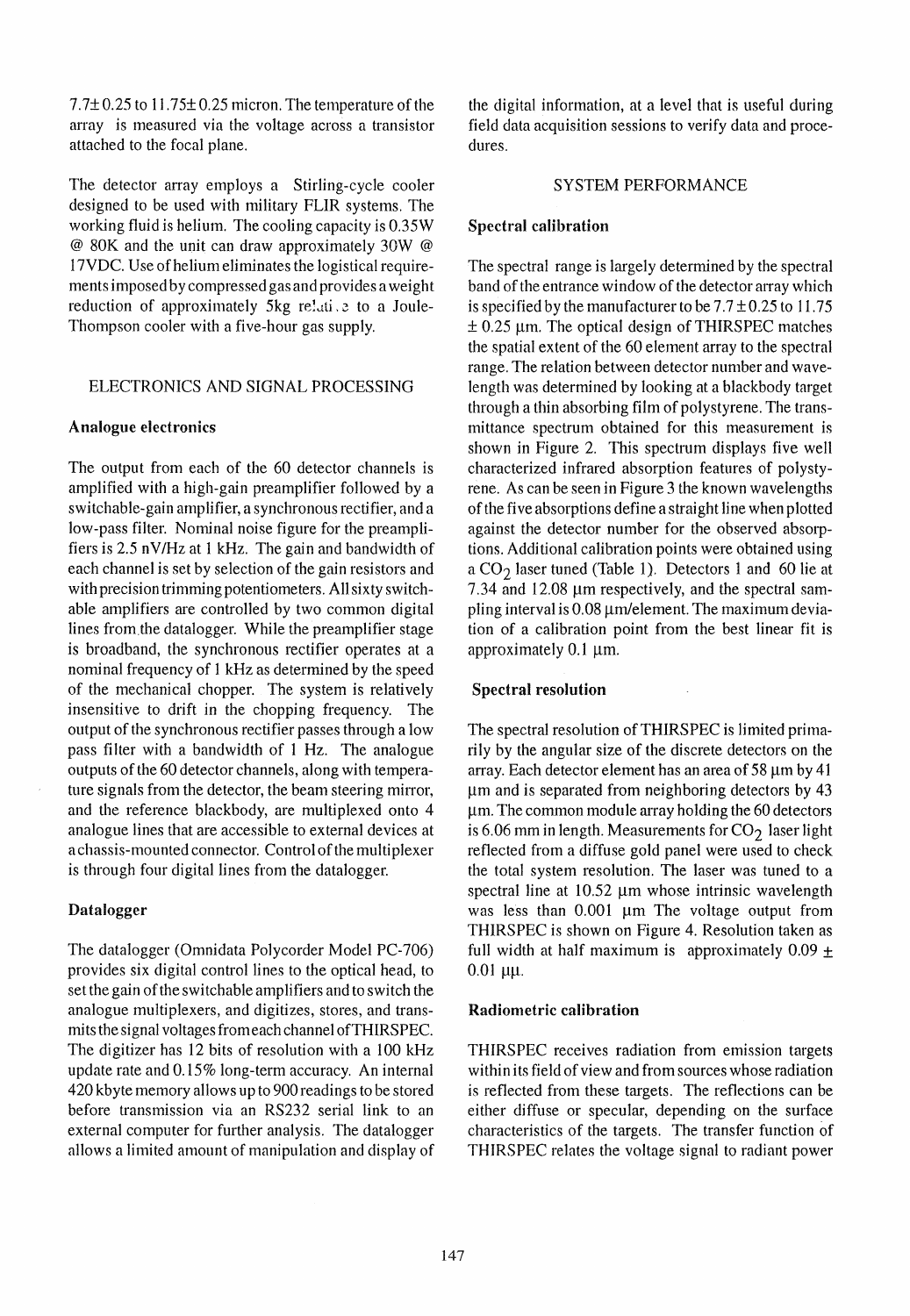$7.7\pm0.25$  to 11.75 $\pm$ 0.25 micron. The temperature of the array is measured via the voltage across a transistor attached to the focal plane.

The detector array employs a Stirling-cycle cooler designed to be used with military FLIR systems. The working fluid is helium. The cooling capacity is 0.35W @ 80K and the unit can draw approximately 30W @ 17VDC. Use ofheIium eliminates the logistical requirements imposed by compressed gas and provides a weight reduction of approximately  $5kg$  relative to a Joule-Thompson cooler with a five-hour gas supply.

### ELECTRONICS AND SIGNAL PROCESSING

#### Analogue electronics

The output from each of the 60 detector channels is amplified with a high-gain preamplifier followed by a switchable-gain amplifier, a synchronous rectifier, and a low-pass filter. Nominal noise figure for the preamplifiers is 2.5 nY/Hz at 1 kHz. The gain and bandwidth of each channel is set by selection of the gain resistors and with precision trimming potentiometers. All sixty switchable amplifiers are controlled by two common digital lines from,the datalogger. While the preamplifier stage is broadband, the synchronous rectifier operates at a nominal frequency of 1kHz as determined by the speed of the mechanical chopper. The system is relatively insensitive to drift in the chopping frequency. The output of the synchronous rectifier passes through a low pass filter with a bandwidth of 1 Hz. The analogue outputs of the 60 detector channels, along with temperature signals from the detector, the beam steering mirror, and the reference blackbody, are multiplexed onto 4 analogue lines that are accessible to external devices at a chassis-mounted connector. Control of the multiplexer is through four digital lines from the datalogger.

## Datalogger

The datalogger (Omnidata Polycorder Model PC-706) provides six digital control lines to the optical head, to set the gain of the switchable amplifiers and to switch the analogue multiplexers, and digitizes, stores, and transmits the signal voltages fromeach channel ofTHIRSPEC. The digitizer has 12 bits of resolution with a 100 kHz update rate and 0.15% long-term accuracy. An internal 420 kbyte memory allows up to 900 readings to be stored before transmission via an RS232 serial link to an external computer for further analysis. The datalogger allows a limited amount of manipulation and display of the digital information, at a level that is useful during field data acquisition sessions to verify data and procedures.

### SYSTEM PERFORMANCE

## Spectral ealibration

The spectral range is largely determined by the spectral band of the entrance window of the detector array which is specified by the manufacturer to be  $7.7 \pm 0.25$  to 11.75  $\pm$  0.25 µm. The optical design of THIRSPEC matches the spatial extent of the 60 element array to the spectral range. The relation between detector number and wavelength was determined by looking at a blackbody target through a thin absorbing film of polystyrene. The transmittance spectrum obtained for this measurement is shown in Figure 2. This spectrum displays five weIl characterized infrared absorption features of polystyrene. As can be seen in Figure 3 the known wavelengths of the five absorptions define a straight line when plotted against the detector number for the observed absorptions. Additional calibration points were obtained using a  $CO<sub>2</sub>$  laser tuned (Table 1). Detectors 1 and 60 lie at  $7.34$  and  $12.08 \mu m$  respectively, and the spectral sampling interval is  $0.08 \mu m/e$  lement. The maximum deviation of a calibration point from the best linear fit is approximately  $0.1 \mu m$ .

## Speetral resolution

The spectral resolution of THIRSPEC is limited primarily by the angular size of the discrete detectors on the array. Each detector element has an area of 58  $\mu$ m by 41 µm and is separated from neighboring detectors by 43  $~\mu$ m. The common module array holding the 60 detectors is 6.06 mm in length. Measurements for  $CO<sub>2</sub>$  laser light reflected from a diffuse gold panel were used to check the total system resolution. The laser was tuned to a spectral line at  $10.52 \mu m$  whose intrinsic wavelength was less than  $0.001$  µm The voltage output from THIRSPEC is shown on Figure 4. Resolution taken as full width at half maximum is approximately  $0.09 \pm$  $0.01 \mu\mu$ .

## Radiometrie ealibration

THIRSPEC receives radiation from emission targets within its field of view and from sources whose radiation is reflected from these targets. The reflections can be either diffuse or specular, depending on the surface characteristics of the targets. The transfer function of THIRSPEC relates the voltage signal to radiant power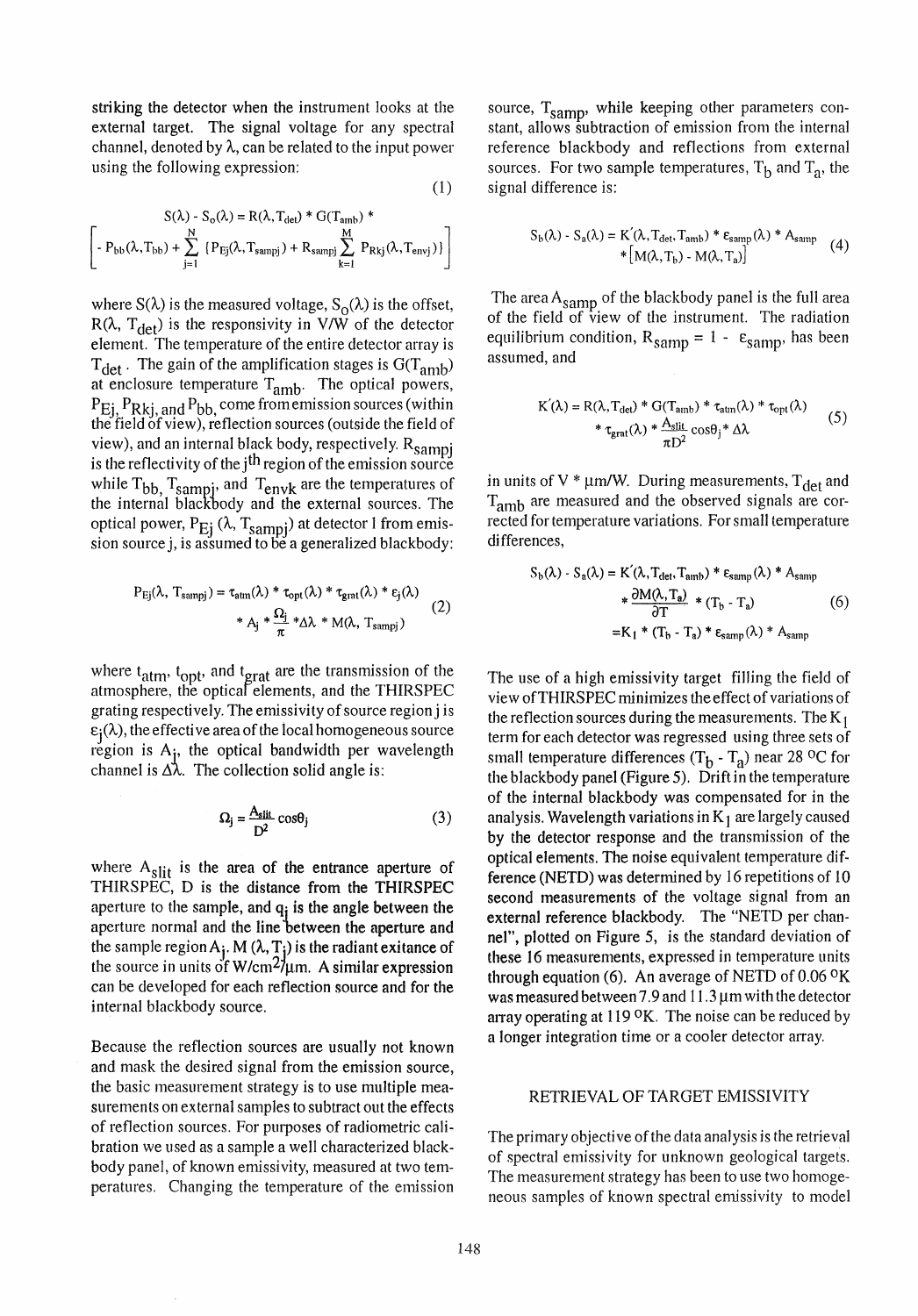striking the detector when the instrument looks at the externat target. The signal voltage for any spectral channel, denoted by  $\lambda$ , can be related to the input power using the following expression:

$$
(\mathbf{1})
$$

$$
S(\lambda) - S_o(\lambda) = R(\lambda, T_{det}) * G(T_{amb}) * \n\left[ - P_{bb}(\lambda, T_{bb}) + \sum_{j=1}^{N} \{ P_{Ej}(\lambda, T_{sampj}) + R_{sampj} \sum_{k=1}^{M} P_{Rkj}(\lambda, T_{envj}) \} \right]
$$

where  $S(\lambda)$  is the measured voltage,  $S_{\Omega}(\lambda)$  is the offset, R( $\lambda$ , T<sub>det</sub>) is the responsivity in V/W of the detector element. The temperature of the entire detector array is  $T_{\text{det}}$ . The gain of the amplification stages is  $G(T_{\text{amb}})$ at enclosure temperature T<sub>amb</sub>. The optical powers,  $P_{E_i}$ ,  $P_{Rki, and}$   $P_{bb}$  come from emission sources (within the field of view), reflection sources (outside the field of view), and an internal black body, respectively. R<sub>sampj</sub> is the reflectivity of the  $j<sup>th</sup>$  region of the emission source while  $T_{bb}$ ,  $T_{\text{sampling}}$ , and  $T_{\text{envk}}$  are the temperatures of the internal blackbody and the external sources. The optical power,  $P_{Ej}$  ( $\lambda$ ,  $T_{sampling}$ ) at detector 1 from emission source j, is assumed to be a generalized blackbody:

$$
P_{Ej}(\lambda, T_{\text{sampj}}) = \tau_{\text{atm}}(\lambda) * \tau_{\text{opt}}(\lambda) * \tau_{\text{grat}}(\lambda) * \epsilon_{j}(\lambda)
$$
  
 
$$
* A_{j} * \frac{\Omega_{j}}{\pi} * \Delta \lambda * M(\lambda, T_{\text{sampj}})
$$
 (2)

where  $t_{\text{atm}}$ ,  $t_{\text{opt}}$ , and  $t_{\text{grat}}$  are the transmission of the atmosphere, the opticaf elements, and the THIRSPEC grating respectively. The emissivity of source region j is  $\varepsilon_i(\lambda)$ , the effective area of the local homogeneous source region is A<sub>i</sub>, the optical bandwidth per wavelength channel is  $\Delta\lambda$ . The collection solid angle is:

$$
\Omega_{j} = \frac{A_{\text{slit}}}{D^2} \cos \theta_{j} \tag{3}
$$

where  $A_{\text{slit}}$  is the area of the entrance aperture of THIRSPEC, D is the distance from the THIRSPEC aperture to the sample, and  $q_i$  is the angle between the aperture normal and the line between the aperture and the sample region  $A_i$ . M  $(\lambda, T_i)$  is the radiant exitance of the source in units of W/cm<sup>2</sup>/ $\mu$ m. A similar expression can be developed for each reflection source and for the internal blackbody source.

Because the reflection sources are usually not known and mask the desired signal from the emission source, the basic measurement strategy is to use multiple measurements on external samples to subtract out the effects of reflection sources. For purposes of radiometrie calibration we used as a sample a well characterized blackbody panel, of known emissivity, measured at two temperatures. Changing the temperature of the emission source,  $T_{\text{samm}}$ , while keeping other parameters constant, allows subtraction of emission from the internal reference blackbody and refIections from externat sources. For two sample temperatures,  $T<sub>b</sub>$  and  $T<sub>a</sub>$ , the signal difference is:

$$
S_b(\lambda) - S_a(\lambda) = K'(\lambda, T_{\text{det}}, T_{\text{amb}}) * \varepsilon_{\text{samp}}(\lambda) * A_{\text{samp}} \tag{4}
$$

$$
* [M(\lambda, T_b) - M(\lambda, T_a)]
$$

The area  $A<sub>samp</sub>$  of the blackbody panel is the full area of the field of view of the instrument. The radiation equilibrium condition,  $R_{\text{samp}} = 1 - \varepsilon_{\text{samp}}$ , has been assumed, and

$$
K'(\lambda) = R(\lambda, T_{det}) * G(T_{amb}) * \tau_{atm}(\lambda) * \tau_{opt}(\lambda)
$$
  
 
$$
* \tau_{grat}(\lambda) * \frac{A_{slit}}{\pi D^2} \cos \theta_j * \Delta \lambda
$$
 (5)

in units of V  $* \mu m/W$ . During measurements, T<sub>det</sub> and T<sub>amb</sub> are measured and the observed signals are corrected for temperature variations. For small temperature differences,

$$
S_b(\lambda) - S_a(\lambda) = K'(\lambda, T_{\text{det}}, T_{\text{amb}}) * \varepsilon_{\text{samp}}(\lambda) * A_{\text{samp}}
$$
  
 
$$
* \frac{\partial M(\lambda, T_a)}{\partial T} * (T_b - T_a)
$$
 (6)  

$$
= K_1 * (T_b - T_a) * \varepsilon_{\text{samp}}(\lambda) * A_{\text{samp}}
$$

The use of a high emissivity target filling the field of view ofTHIRSPEC minimizes the effect of variations of the reflection sources during the measurements. The  $K_1$ term for each detector was regressed using three sets of small temperature differences  $(T_h - T_a)$  near 28 <sup>o</sup>C for the blackbody panel (Figure 5). Drift in the temperature of the internal blackbody was compensated for in the analysis. Wavelength variations in  $K_1$  are largely caused by the detector response and the transmission of the optical elements. The noise equivalent temperature difference (NETD) was determined by 16 repetitions of 10 second measurements of the voltage signal from an external reference blackbody. The "NETD per channel", plotted on Figure 5, is the standard deviation of these 16 measurements, expressed in temperature units through equation (6). An average of NETD of 0.06 0K was measured between 7.9 and  $11.3 \mu m$  with the detector array operating at  $119$  <sup>O</sup>K. The noise can be reduced by a longer integration time or a cooler detector array.

#### RETRIEVAL OF TARGET EMISSIVITY

The primary objective ofthe data ana1ysis is the retrieval of spectral emissivity for unknown geologieal targets. The measurement strategy has been to use two homogeneous samples of known spectral emissivity to model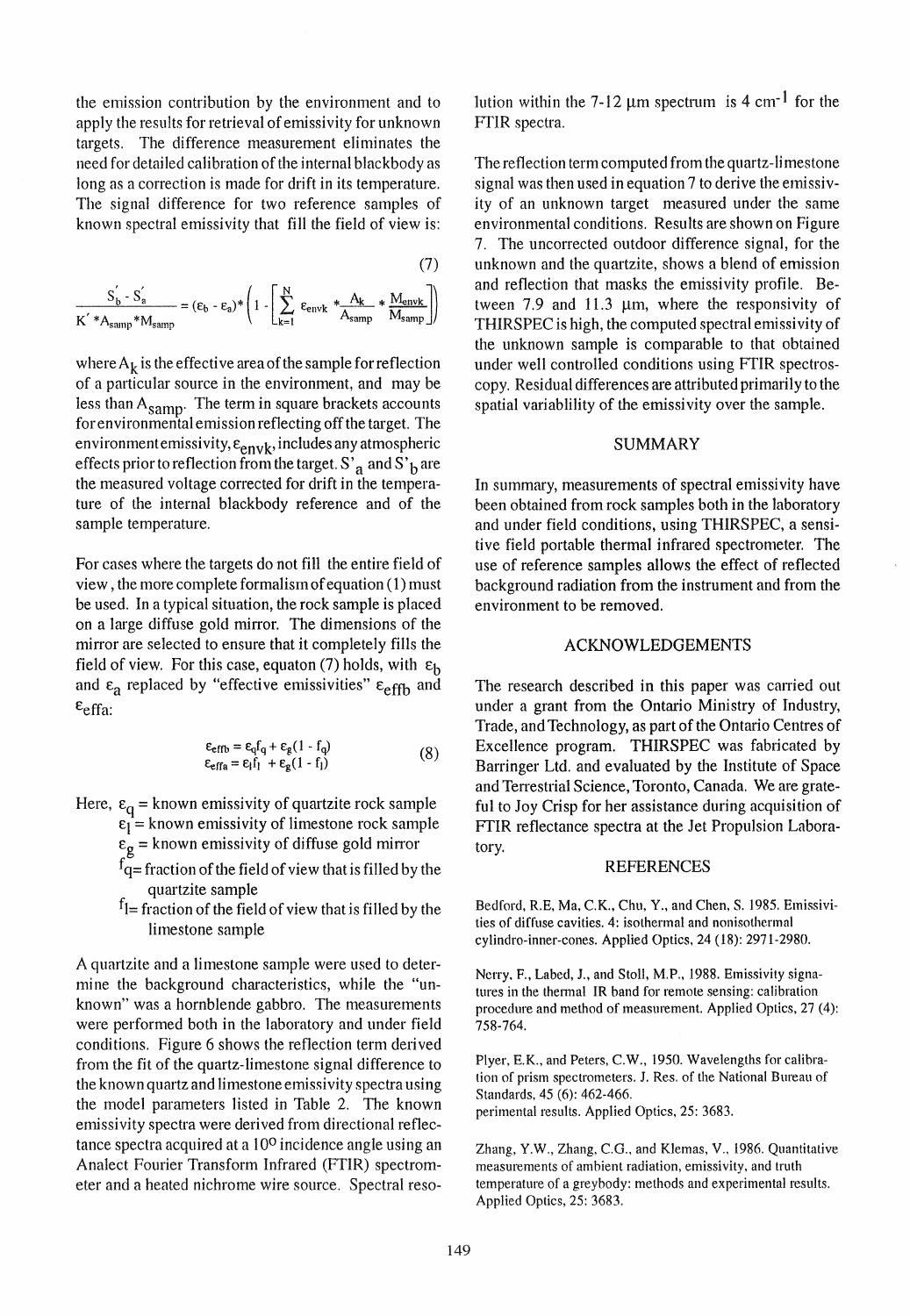the emission contribution by the environment and to apply the results for retrieval of emissivity for unknown targets. The difference measurement eIiminates the need for detailed calibration of the internal blackbody as long as a correction is made for drift in its temperature. The signal difference for two reference samples of known spectral emissivity that fill the field of view is:

(7)  
\n
$$
\frac{S_b^{'} - S_a^{'} }{K^{'}*A_{\text{samp}}*M_{\text{samp}}} = (\epsilon_b - \epsilon_a)^* \left(1 - \left[\sum_{k=1}^{N} \epsilon_{\text{envk}} * \frac{A_k}{A_{\text{samp}}} * \frac{M_{\text{envk}}}{M_{\text{samp}}}\right]\right)
$$

where  $A_k$  is the effective area of the sample for reflection of a particular source in the environment, and may be less than A<sub>samp</sub>. The term in square brackets accounts for environmental emission reflecting off the target. The environmentemissivity,  $\varepsilon_{envk}$ , includes any atmospheric effects prior to reflection from the target. S'<sub>a</sub> and S'<sub>b</sub> are the measured voltage corrected for drift in the temperature of the internal blackbody reference and of the sample temperature.

For cases where the targets do not fill the entire field of view , the more complete formalism of equation (1) must be used. In a typical situation, the rock sample is placed on a large diffuse gold mirror. The dimensions of the mirror are selected to ensure that it completely fills the field of view. For this case, equaton (7) holds, with  $\varepsilon_{\rm h}$ and  $\epsilon_a$  replaced by "effective emissivities"  $\epsilon_{\text{eff}b}$  and  $\varepsilon$ <sub>effa:</sub>

$$
\begin{aligned} \varepsilon_{\text{effb}} &= \varepsilon_q f_q + \varepsilon_g (1 - f_q) \\ \varepsilon_{\text{effa}} &= \varepsilon_l f_l + \varepsilon_g (1 - f_l) \end{aligned} \tag{8}
$$

- Here,  $\varepsilon_q$  = known emissivity of quartzite rock sample  $\varepsilon_1^4$  = known emissivity of limestone rock sample
	- $\epsilon_g$  = known emissivity of diffuse gold mirror
	- $f_{q=}^{\infty}$  fraction of the field of view that is filled by the quartzite sampie
	- $f_1$ = fraction of the field of view that is filled by the limestone sampie

A quartzite and a limestone sample were used to determine the background characteristics, while the "unknown" was a hornblende gabbro. The measurements were performed both in the laboratory and under field conditions. Figure 6 shows the reflection term derived from the fit of the quartz-limestone signal difference to the known quartz and limestone emissivity spectra using the model parameters listed *in* Table 2. The known emissivity spectra were derived from directional reflectance spectra acquired at a 100 incidence angle using an Analect Fourier Transform Infrared (FTIR) spectrometer and a heated nichrome wire source. Spectral resolution within the 7-12  $\mu$ m spectrum is 4 cm<sup>-1</sup> for the FfIR spectra.

The reflection term computed from the quartz-limestone signal was then used in equation 7 to derive the emissivity of an unknown target measured under the same environmental conditions. Results are shown on Figure 7. The uncorrected outdoor difference signal, for the unknown and the quartzite, shows ablend of emission and reflection that masks the emissivity profile. Between 7.9 and 11.3  $\mu$ m, where the responsivity of THIRSPEC is high, the computed spectral emissivity of the unknown sampie is comparable to that obtained under well controlled conditions using FTIR spectroscopy. Residual differences are attributed primarily to the spatial variablility of the emissivity over the sampie.

#### SUMMARY

In summary, measurements of spectral emissivity have been obtained from rock samples both in the laboratory and under field conditions, using THIRSPEC, a sensitive field portable thermal infrared spectrometer. The use of reference samples allows the effect of reflected background radiation from the instrument and from the environment to be removed.

#### ACKNOWLEDGEMENTS

The research described in this paper was carried out under a grant from the Ontario Ministry of Industry, Trade, and Technology, as part of the Ontario Centres of Excellence program. THIRSPEC was fabricated by Barringer Ltd. and evaluated by the Institute of Space and Terrestrial Science, Toronto, Canada. We are grateful to Joy Crisp for her assistance during acquisition of FTIR reflectance spectra at the Jet Propulsion Laboratory.

#### REFERENCES

Bedford, R.E, Ma, C.K., Chu, Y., and Chen, S. 1985. Emissivities of diffuse cavities. 4: isothermal and nonisothermal cylindro-inner-cones. Applied Optics, 24 (18): 2971-2980.

Nerry, F., Labed, J., and Stoll, M.P., 1988. Emissivity signatures in the thennal IR band for remote sensing: calibration procedure and method of measurement. Applied Optics, 27 (4): 758-764.

Plyer, E.K., and Peters, C.W., 1950. Wavelengths for calibration of prism spectrometers. J. Res. of the National Bureau of Standards, 45 (6): 462-466. perimental results. Applied Optics, 25: 3683.

Zhang, Y.W., Zhang, C.O., and Klemas, V., 1986. Quantitative measurements of ambient radiation, emissivity, and truth temperature of a greybody: methods and experimental results. Applied Optics, 25: 3683.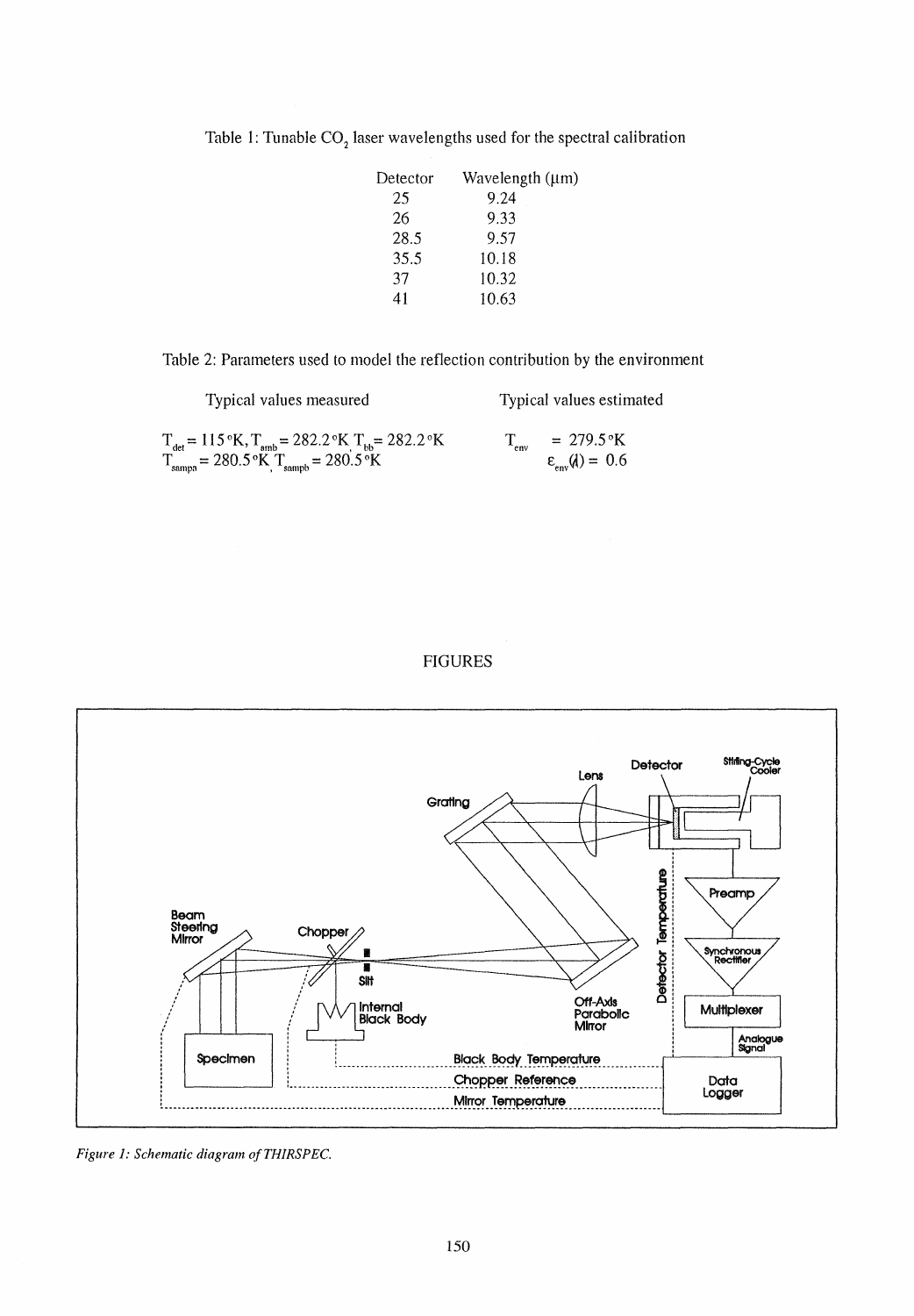| Detector | Wavelength $(\mu m)$ |
|----------|----------------------|
| 25       | 9.24                 |
| 26       | 9.33                 |
| 28.5     | 9.57                 |
| 35.5     | 10.18                |
| 37       | 10.32                |
| 41       | 10.63                |

Table 1: Tunable  $CO<sub>2</sub>$  laser wavelengths used for the spectral calibration

Table 2: Parameters used to model the reflection contribution by the environment

| Typical values measured                                                                                                                                                                  | Typical values estimated                                     |
|------------------------------------------------------------------------------------------------------------------------------------------------------------------------------------------|--------------------------------------------------------------|
| $T_{\text{det}} = 115 \text{ °K}, T_{\text{amb}} = 282.2 \text{ °K}$ $T_{\text{bb}} = 282.2 \text{ °K}$<br>$T_{\text{sample}} = 280.5 \text{°K}$ , $T_{\text{sample}} = 280.5 \text{°K}$ | $T = 279.5$ °K<br>env<br>$\varepsilon_{\text{env}}(d) = 0.6$ |





*Figure* 1: *Schematic diagram ofTHIRSPEC.*